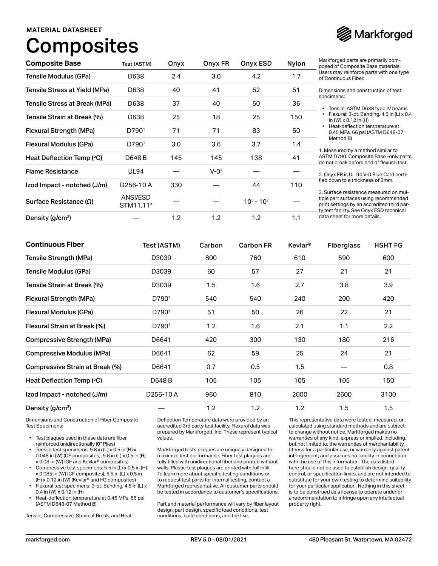### **MATERIAL DATASHEET**

# **Composites**



| <b>Composite Base</b>           | Test (ASTM)                       | Onyx | Onyx FR   | Onyx ESD      | Nylon | Markforged parts are primarily com-<br>posed of Composite Base materials.                                                                                                 |
|---------------------------------|-----------------------------------|------|-----------|---------------|-------|---------------------------------------------------------------------------------------------------------------------------------------------------------------------------|
| Tensile Modulus (GPa)           | D638                              | 2.4  | 3.0       | 4.2           | 1.7   | Users may reinforce parts with one type<br>of Continuous Fiber.                                                                                                           |
| Tensile Stress at Yield (MPa)   | D638                              | 40   | 41        | 52            | 51    | Dimensions and construction of test                                                                                                                                       |
| Tensile Stress at Break (MPa)   | D638                              | 37   | 40        | 50            | 36    | specimens:<br>• Tensile: ASTM D638 type IV beams                                                                                                                          |
| Tensile Strain at Break (%)     | D638                              | 25   | 18        | 25            | 150   | Flexural: 3-pt. Bending, 4.5 in (L) x 0.4<br>in (W) $\times$ 0.12 in (H)                                                                                                  |
| Flexural Strength (MPa)         | D790 <sup>1</sup>                 | 71   | 71        | 83            | 50    | Heat-deflection temperature at<br>0.45 MPa, 66 psi (ASTM D648-07                                                                                                          |
| Flexural Modulus (GPa)          | D790 <sup>1</sup>                 | 3.0  | 3.6       | 3.7           | 1.4   | Method B)<br>1. Measured by a method similar to                                                                                                                           |
| Heat Deflection Temp (°C)       | D648 B                            | 145  | 145       | 138           | 41    | ASTM D790. Composite Base - only parts<br>do not break before end of flexural test.                                                                                       |
| <b>Flame Resistance</b>         | <b>UL94</b>                       |      | $V - Q^2$ |               |       | 2. Onyx FR is UL 94 V-0 Blue Card certi-                                                                                                                                  |
| Izod Impact - notched (J/m)     | D256-10A                          | 330  |           | 44            | 110   | fied down to a thickness of 3mm.                                                                                                                                          |
| Surface Resistance ( $\Omega$ ) | ANSI/ESD<br>STM11.11 <sup>3</sup> |      |           | $10^5 - 10^7$ |       | 3. Surface resistance measured on mul-<br>tiple part surfaces using recommended<br>print settings by an accredited third par-<br>ty test facility. See Onyx ESD technical |
| Density (g/cm <sup>3</sup> )    |                                   | 1.2  | 1.2       | 1.2           | 1.1   | data sheet for more details.                                                                                                                                              |

| <b>Continuous Fiber</b>           | Test (ASTM) | Carbon | <b>Carbon FR</b> | Kevlar <sup>®</sup> | <b>Fiberglass</b> | <b>HSHT FG</b> |
|-----------------------------------|-------------|--------|------------------|---------------------|-------------------|----------------|
| <b>Tensile Strength (MPa)</b>     | D3039       | 800    | 760              | 610                 | 590               | 600            |
| Tensile Modulus (GPa)             | D3039       | 60     | 57               | 27                  | 21                | 21             |
| Tensile Strain at Break (%)       | D3039       | 1.5    | 1.6              | 2.7                 | 3.8               | 3.9            |
| Flexural Strength (MPa)           | D7901       | 540    | 540              | 240                 | 200               | 420            |
| Flexural Modulus (GPa)            | D7901       | 51     | 50               | 26                  | 22                | 21             |
| Flexural Strain at Break (%)      | D7901       | 1.2    | 1.6              | 2.1                 | 1.1               | 2.2            |
| <b>Compressive Strength (MPa)</b> | D6641       | 420    | 300              | 130                 | 180               | 216            |
| <b>Compressive Modulus (MPa)</b>  | D6641       | 62     | 59               | 25                  | 24                | 21             |
| Compressive Strain at Break (%)   | D6641       | 0.7    | 0.5              | 1.5                 |                   | 0.8            |
| Heat Deflection Temp (°C)         | D648 B      | 105    | 105              | 105                 | 105               | 150            |
| Izod Impact - notched (J/m)       | D256-10A    | 960    | 810              | 2000                | 2600              | 3100           |
| Density (g/cm <sup>3</sup> )      |             | 1.2    | 1.2              | 1.2                 | 1.5               | 1.5            |

Dimensions and Construction of Fiber Composite Test Specimens:

- Test plaques used in these data are fiber reinforced unidirectionally (0° Plies)
- Tensile test specimens: 9.8 in (L) x 0.5 in (H) x 0.048 in (W) (CF composites), 9.8 in (L) x 0.5 in (H) x 0.08 in (W) (GF and Kevlar® composites)
- Compressive test specimens: 5.5 in (L) x 0.5 in (H) x 0.085 in (W) (CF composites), 5.5 in (L) x 0.5 in (H) x 0.12 in (W) (Kevlar® and FG composites)
- Flexural test specimens: 3-pt. Bending, 4.5 in (L) x 0.4 in (W) x 0.12 in (H)
- Heat-deflection temperature at 0.45 MPa, 66 psi (ASTM D648-07 Method B)

Tensile, Compressive, Strain at Break, and Heat

Deflection Temperature data were provided by an accredited 3rd party test facility. Flexural data was prepared by Markforged. Inc. These represent typical values.

Markforged tests plaques are uniquely designed to maximize test performance. Fiber test plaques are fully filled with unidirectional fiber and printed without walls. Plastic test plaques are printed with full infill. To learn more about specific testing conditions or to request test parts for internal testing, contact a Markforged representative. All customer parts should be tested in accordance to customer's specifications.

Part and material performance will vary by fiber layout design, part design, specific load conditions, test conditions, build conditions, and the like.

This representative data were tested, measured, or calculated using standard methods and are subject to change without notice. Markforged makes no warranties of any kind, express or implied, including, but not limited to, the warranties of merchantability, fitness for a particular use, or warranty against patent infringement; and assumes no liability in connection with the use of this information. The data listed here should not be used to establish design, quality control, or specification limits, and are not intended to substitute for your own testing to determine suitability for your particular application. Nothing in this sheet is to be construed as a license to operate under or a recommendation to infringe upon any intellectual property right.